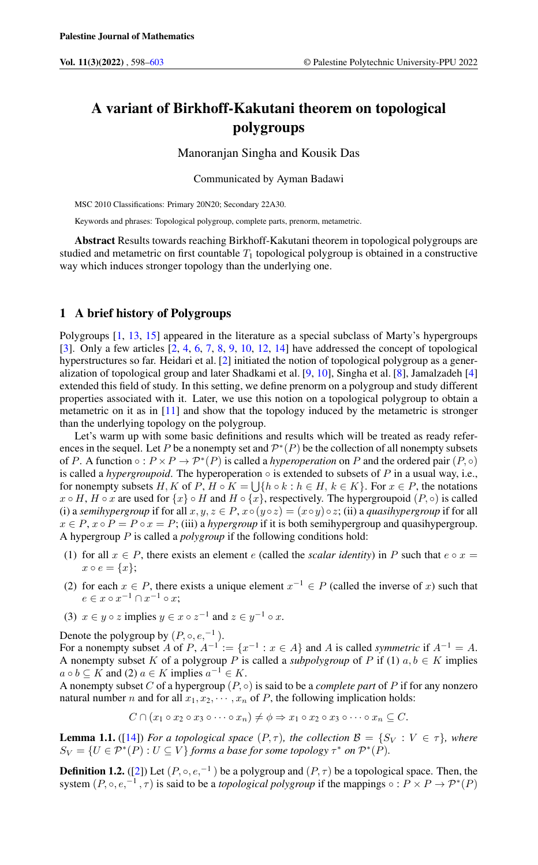# A variant of Birkhoff-Kakutani theorem on topological polygroups

Manoranjan Singha and Kousik Das

Communicated by Ayman Badawi

MSC 2010 Classifications: Primary 20N20; Secondary 22A30.

Keywords and phrases: Topological polygroup, complete parts, prenorm, metametric.

Abstract Results towards reaching Birkhoff-Kakutani theorem in topological polygroups are studied and metametric on first countable  $T_1$  topological polygroup is obtained in a constructive way which induces stronger topology than the underlying one.

## 1 A brief history of Polygroups

Polygroups [\[1,](#page-4-1) [13,](#page-5-0) [15\]](#page-5-1) appeared in the literature as a special subclass of Marty's hypergroups [\[3\]](#page-4-2). Only a few articles  $[2, 4, 6, 7, 8, 9, 10, 12, 14]$  $[2, 4, 6, 7, 8, 9, 10, 12, 14]$  $[2, 4, 6, 7, 8, 9, 10, 12, 14]$  $[2, 4, 6, 7, 8, 9, 10, 12, 14]$  $[2, 4, 6, 7, 8, 9, 10, 12, 14]$  $[2, 4, 6, 7, 8, 9, 10, 12, 14]$  $[2, 4, 6, 7, 8, 9, 10, 12, 14]$  $[2, 4, 6, 7, 8, 9, 10, 12, 14]$  $[2, 4, 6, 7, 8, 9, 10, 12, 14]$  $[2, 4, 6, 7, 8, 9, 10, 12, 14]$  $[2, 4, 6, 7, 8, 9, 10, 12, 14]$  $[2, 4, 6, 7, 8, 9, 10, 12, 14]$  $[2, 4, 6, 7, 8, 9, 10, 12, 14]$  $[2, 4, 6, 7, 8, 9, 10, 12, 14]$  $[2, 4, 6, 7, 8, 9, 10, 12, 14]$  $[2, 4, 6, 7, 8, 9, 10, 12, 14]$  $[2, 4, 6, 7, 8, 9, 10, 12, 14]$  have addressed the concept of topological hyperstructures so far. Heidari et al. [\[2\]](#page-4-3) initiated the notion of topological polygroup as a generalization of topological group and later Shadkami et al. [\[9,](#page-5-5) [10\]](#page-5-6), Singha et al. [\[8\]](#page-5-4), Jamalzadeh [\[4\]](#page-4-4) extended this field of study. In this setting, we define prenorm on a polygroup and study different properties associated with it. Later, we use this notion on a topological polygroup to obtain a metametric on it as in [\[11\]](#page-5-9) and show that the topology induced by the metametric is stronger than the underlying topology on the polygroup.

Let's warm up with some basic definitions and results which will be treated as ready references in the sequel. Let P be a nonempty set and  $\mathcal{P}^*(P)$  be the collection of all nonempty subsets of P. A function  $\circ$  :  $P \times P \to \mathcal{P}^*(P)$  is called a *hyperoperation* on P and the ordered pair  $(P, \circ)$ is called a *hypergroupoid*. The hyperoperation  $\circ$  is extended to subsets of P in a usual way, i.e., for nonempty subsets  $H, K$  of  $P, H \circ K = \bigcup \{ h \circ k : h \in H, k \in K \}$ . For  $x \in P$ , the notations  $x \circ H$ ,  $H \circ x$  are used for  $\{x\} \circ H$  and  $H \circ \{x\}$ , respectively. The hypergroupoid  $(P, \circ)$  is called (i) a *semihypergroup* if for all  $x, y, z \in P$ ,  $x \circ (y \circ z) = (x \circ y) \circ z$ ; (ii) a *quasihypergroup* if for all  $x \in P$ ,  $x \circ P = P \circ x = P$ ; (iii) a *hypergroup* if it is both semihypergroup and quasihypergroup. A hypergroup P is called a *polygroup* if the following conditions hold:

- (1) for all  $x \in P$ , there exists an element e (called the *scalar identity*) in P such that  $e \circ x =$  $x \circ e = \{x\};$
- (2) for each  $x \in P$ , there exists a unique element  $x^{-1} \in P$  (called the inverse of x) such that  $e \in x \circ x^{-1} \cap x^{-1} \circ x;$
- (3)  $x \in y \circ z$  implies  $y \in x \circ z^{-1}$  and  $z \in y^{-1} \circ x$ .

Denote the polygroup by  $(P, \circ, e, ^{-1})$ . For a nonempty subset A of  $P$ ,  $A^{-1} := \{x^{-1} : x \in A\}$  and A is called *symmetric* if  $A^{-1} = A$ . A nonempty subset K of a polygroup P is called a *subpolygroup* of P if (1)  $a, b \in K$  implies  $a \circ b \subseteq K$  and (2)  $a \in K$  implies  $a^{-1} \in K$ .

A nonempty subset C of a hypergroup  $(P, \circ)$  is said to be a *complete part* of P if for any nonzero natural number *n* and for all  $x_1, x_2, \cdots, x_n$  of *P*, the following implication holds:

 $C \cap (x_1 \circ x_2 \circ x_3 \circ \cdots \circ x_n) \neq \phi \Rightarrow x_1 \circ x_2 \circ x_3 \circ \cdots \circ x_n \subseteq C.$ 

**Lemma 1.1.** ([\[14\]](#page-5-8)) *For a topological space*  $(P, \tau)$ *, the collection*  $\mathcal{B} = \{S_V : V \in \tau\}$ *, where*  $S_V = \{ U \in \mathcal{P}^*(P) : U \subseteq V \}$  forms a base for some topology  $\tau^*$  on  $\mathcal{P}^*(P)$ .

**Definition 1.2.** ([\[2\]](#page-4-3)) Let  $(P, \circ, e,^{-1})$  be a polygroup and  $(P, \tau)$  be a topological space. Then, the system  $(P, \circ, e,^{-1}, \tau)$  is said to be a *topological polygroup* if the mappings  $\circ : P \times P \to P^*(P)$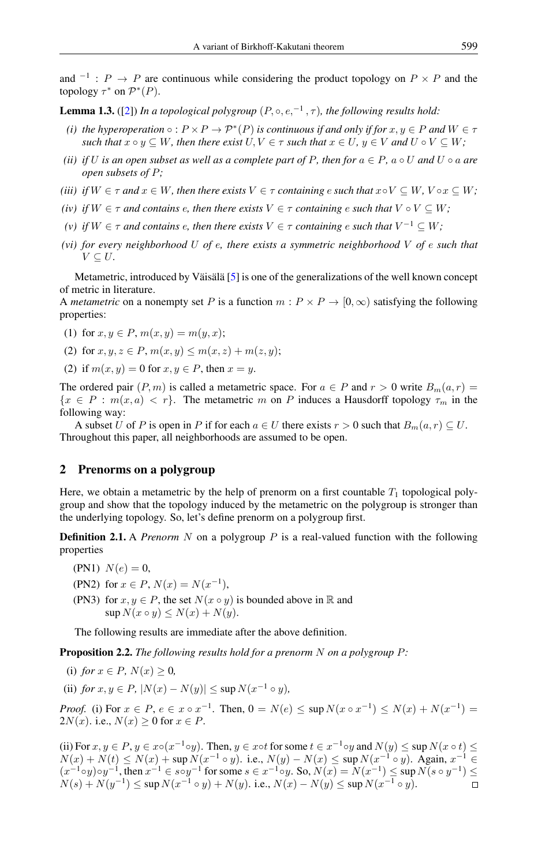and  $^{-1}$ :  $P \rightarrow P$  are continuous while considering the product topology on  $P \times P$  and the topology  $\tau^*$  on  $\mathcal{P}^*(P)$ .

**Lemma 1.3.** ([\[2\]](#page-4-3)) *In a topological polygroup*  $(P, \circ, e, ^{-1}, \tau)$ *, the following results hold:* 

- *(i)* the hyperoperation  $\circ : P \times P \to P^*(P)$  is continuous if and only if for  $x, y \in P$  and  $W \in \tau$ *such that*  $x \circ y \subseteq W$ *, then there exist*  $U, V \in \tau$  *such that*  $x \in U, y \in V$  *and*  $U \circ V \subseteq W$ *;*
- *(ii) if* U *is an open subset as well as a complete part of* P, then for  $a \in P$ ,  $a \circ U$  *and*  $U \circ a$  *are open subsets of* P*;*
- *(iii) if*  $W \in \tau$  *and*  $x \in W$ *, then there exists*  $V \in \tau$  *containing* e *such that*  $x \circ V \subseteq W$ *,*  $V \circ x \subseteq W$ *;*
- *(iv) if*  $W \in \tau$  *and contains e, then there exists*  $V \in \tau$  *containing e such that*  $V \circ V \subseteq W$ ;
- *(v) if*  $W ∈ τ$  *and contains e, then there exists*  $V ∈ τ$  *containing e such that*  $V^{-1} ⊆ W$ ;
- *(vi) for every neighborhood* U *of* e*, there exists a symmetric neighborhood* V *of* e *such that*  $V \subseteq U$ .

Metametric, introduced by Väisälä  $[5]$  $[5]$  is one of the generalizations of the well known concept of metric in literature.

A *metametric* on a nonempty set P is a function  $m : P \times P \rightarrow [0, \infty)$  satisfying the following properties:

- (1) for  $x, y \in P$ ,  $m(x, y) = m(y, x)$ ;
- (2) for  $x, y, z \in P$ ,  $m(x, y) \le m(x, z) + m(z, y)$ ;
- (2) if  $m(x, y) = 0$  for  $x, y \in P$ , then  $x = y$ .

The ordered pair  $(P, m)$  is called a metametric space. For  $a \in P$  and  $r > 0$  write  $B_m(a, r) =$  ${x \in P : m(x, a) < r}$ . The metametric m on P induces a Hausdorff topology  $\tau_m$  in the following way:

A subset U of P is open in P if for each  $a \in U$  there exists  $r > 0$  such that  $B_m(a, r) \subseteq U$ . Throughout this paper, all neighborhoods are assumed to be open.

# 2 Prenorms on a polygroup

Here, we obtain a metametric by the help of prenorm on a first countable  $T_1$  topological polygroup and show that the topology induced by the metametric on the polygroup is stronger than the underlying topology. So, let's define prenorm on a polygroup first.

**Definition 2.1.** A *Prenorm* N on a polygroup P is a real-valued function with the following properties

- (PN1)  $N(e) = 0$ ,
- (PN2) for  $x \in P$ ,  $N(x) = N(x^{-1})$ ,
- (PN3) for  $x, y \in P$ , the set  $N(x \circ y)$  is bounded above in R and  $\sup N(x \circ y) \leq N(x) + N(y).$

The following results are immediate after the above definition.

<span id="page-1-0"></span>Proposition 2.2. *The following results hold for a prenorm* N *on a polygroup* P*:*

- (i) *for*  $x \in P$ *,*  $N(x) \ge 0$ *,*
- (ii) *for*  $x, y \in P$ *,*  $|N(x) N(y)| \le \sup N(x^{-1} \circ y)$ *,*

*Proof.* (i) For  $x \in P$ ,  $e \in x \circ x^{-1}$ . Then,  $0 = N(e) \le \sup N(x \circ x^{-1}) \le N(x) + N(x^{-1}) =$  $2N(x)$ . i.e.,  $N(x) \geq 0$  for  $x \in P$ .

(ii) For  $x, y \in P$ ,  $y \in x \circ (x^{-1} \circ y)$ . Then,  $y \in x \circ t$  for some  $t \in x^{-1} \circ y$  and  $N(y) \leq \sup N(x \circ t) \leq$  $N(x) + N(t) \le N(x) + \sup N(x^{-1} \circ y)$ . i.e.,  $N(y) - N(x) \le \sup N(x^{-1} \circ y)$ . Again,  $x^{-1} \in$  $(x^{-1} \circ y) \circ y^{-1}$ , then  $x^{-1} \in s \circ y^{-1}$  for some  $s \in x^{-1} \circ y$ . So,  $N(x) = N(x^{-1}) \le \sup N(s \circ y^{-1}) \le$  $N(s) + N(y^{-1}) \le \sup N(x^{-1} \circ y) + N(y)$ . i.e.,  $N(x) - N(y) \le \sup N(x^{-1} \circ y)$ .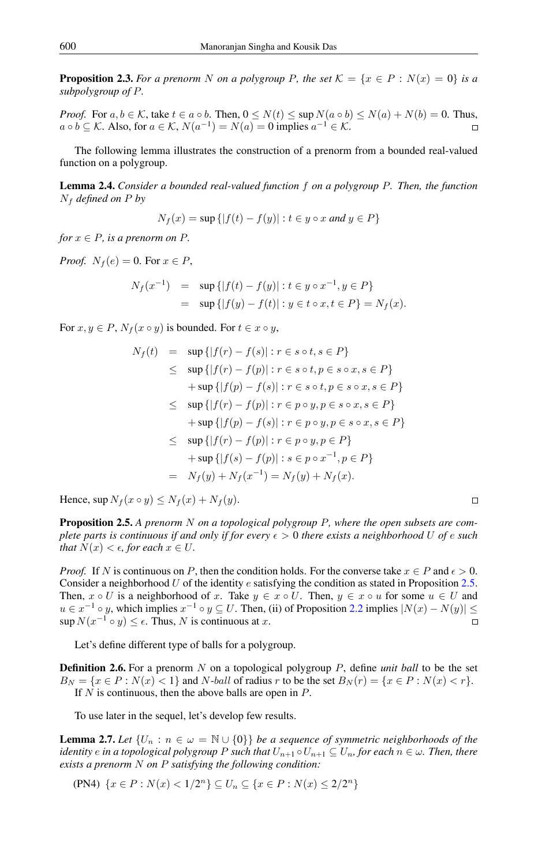**Proposition 2.3.** For a prenorm N on a polygroup P, the set  $\mathcal{K} = \{x \in P : N(x) = 0\}$  is a *subpolygroup of* P*.*

*Proof.* For  $a, b \in K$ , take  $t \in a \circ b$ . Then,  $0 \le N(t) \le \sup N(a \circ b) \le N(a) + N(b) = 0$ . Thus,  $a \circ b \subseteq \mathcal{K}$ . Also, for  $a \in \mathcal{K}$ ,  $N(a^{-1}) = N(a) = 0$  implies  $a^{-1} \in \mathcal{K}$ .  $\Box$ 

The following lemma illustrates the construction of a prenorm from a bounded real-valued function on a polygroup.

<span id="page-2-1"></span>Lemma 2.4. *Consider a bounded real-valued function* f *on a polygroup* P*. Then, the function* N<sup>f</sup> *defined on* P *by*

$$
N_f(x) = \sup\left\{|f(t) - f(y)| : t \in y \circ x \text{ and } y \in P\right\}
$$

*for*  $x \in P$ *, is a prenorm on*  $P$ *.* 

*Proof.*  $N_f(e) = 0$ . For  $x \in P$ ,

$$
N_f(x^{-1}) = \sup \{|f(t) - f(y)| : t \in y \circ x^{-1}, y \in P\}
$$
  
= 
$$
\sup \{|f(y) - f(t)| : y \in t \circ x, t \in P\} = N_f(x).
$$

For  $x, y \in P$ ,  $N_f(x \circ y)$  is bounded. For  $t \in x \circ y$ ,

$$
N_f(t) = \sup \{|f(r) - f(s)| : r \in s \circ t, s \in P\}
$$
  
\n
$$
\leq \sup \{|f(r) - f(p)| : r \in s \circ t, p \in s \circ x, s \in P\}
$$
  
\n
$$
+ \sup \{|f(p) - f(s)| : r \in s \circ t, p \in s \circ x, s \in P\}
$$
  
\n
$$
\leq \sup \{|f(r) - f(p)| : r \in p \circ y, p \in s \circ x, s \in P\}
$$
  
\n
$$
+ \sup \{|f(p) - f(s)| : r \in p \circ y, p \in s \circ x, s \in P\}
$$
  
\n
$$
\leq \sup \{|f(r) - f(p)| : r \in p \circ y, p \in P\}
$$
  
\n
$$
+ \sup \{|f(s) - f(p)| : s \in p \circ x^{-1}, p \in P\}
$$
  
\n
$$
= N_f(y) + N_f(x^{-1}) = N_f(y) + N_f(x).
$$

 $\Box$ 

Hence,  $\sup N_f(x \circ y) \leq N_f(x) + N_f(y)$ .

<span id="page-2-0"></span>Proposition 2.5. *A prenorm* N *on a topological polygroup* P*, where the open subsets are complete parts is continuous if and only if for every*  $\epsilon > 0$  *there exists a neighborhood* U *of e such that*  $N(x) < \epsilon$ *, for each*  $x \in U$ *.* 

*Proof.* If N is continuous on P, then the condition holds. For the converse take  $x \in P$  and  $\epsilon > 0$ . Consider a neighborhood  $U$  of the identity  $e$  satisfying the condition as stated in Proposition [2.5.](#page-2-0) Then,  $x \circ U$  is a neighborhood of x. Take  $y \in x \circ U$ . Then,  $y \in x \circ u$  for some  $u \in U$  and  $u \in x^{-1} \circ y$ , which implies  $x^{-1} \circ y \subseteq U$ . Then, (ii) of Proposition [2.2](#page-1-0) implies  $|N(x) - N(y)| \le$  $\sup N(x^{-1} \circ y) \leq \epsilon$ . Thus, N is continuous at x.  $\Box$ 

Let's define different type of balls for a polygroup.

**Definition 2.6.** For a prenorm N on a topological polygroup P, define *unit ball* to be the set  $B_N = \{x \in P : N(x) < 1\}$  and N-ball of radius r to be the set  $B_N(r) = \{x \in P : N(x) < r\}.$ If  $N$  is continuous, then the above balls are open in  $P$ .

To use later in the sequel, let's develop few results.

<span id="page-2-2"></span>**Lemma 2.7.** Let  $\{U_n : n \in \omega = \mathbb{N} \cup \{0\}\}\$  *be a sequence of symmetric neighborhoods of the identity*  $e$  *in a topological polygroup*  $P$  *such that*  $U_{n+1} \n\circ U_{n+1} \subseteq U_n$ , for each  $n \in \omega$ . Then, there *exists a prenorm* N *on* P *satisfying the following condition:*

(PN4)  $\{x \in P : N(x) < 1/2^n\} \subseteq U_n \subseteq \{x \in P : N(x) \le 2/2^n\}$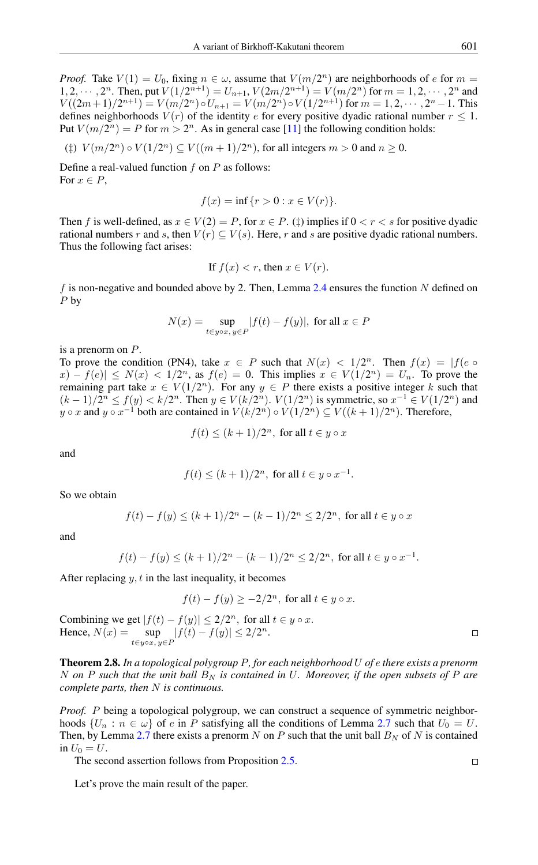*Proof.* Take  $V(1) = U_0$ , fixing  $n \in \omega$ , assume that  $V(m/2^n)$  are neighborhoods of e for  $m =$  $1, 2, \cdots, 2^n$ . Then, put  $V(1/2^{n+1}) = U_{n+1}$ ,  $V(2m/2^{n+1}) = V(m/2^n)$  for  $m = 1, 2, \cdots, 2^n$  and  $V((2m+1)/2^{n+1}) = V(m/2^n) \circ U_{n+1} = V(m/2^n) \circ V(1/2^{n+1})$  for  $m = 1, 2, \dots, 2^n - 1$ . This defines neighborhoods  $V(r)$  of the identity e for every positive dyadic rational number  $r \leq 1$ . Put  $V(m/2^n) = P$  for  $m > 2^n$ . As in general case [\[11\]](#page-5-9) the following condition holds:

$$
(\ddagger) V(m/2^n) \circ V(1/2^n) \subseteq V((m+1)/2^n)
$$
, for all integers  $m > 0$  and  $n \ge 0$ .

Define a real-valued function  $f$  on  $P$  as follows: For  $x \in P$ ,

$$
f(x) = \inf \{ r > 0 : x \in V(r) \}.
$$

Then f is well-defined, as  $x \in V(2) = P$ , for  $x \in P$ . ( $\ddagger$ ) implies if  $0 < r < s$  for positive dyadic rational numbers r and s, then  $V(r) \subseteq V(s)$ . Here, r and s are positive dyadic rational numbers. Thus the following fact arises:

If 
$$
f(x) < r
$$
, then  $x \in V(r)$ .

f is non-negative and bounded above by 2. Then, Lemma [2.4](#page-2-1) ensures the function  $N$  defined on P by

$$
N(x) = \sup_{t \in y \circ x, y \in P} |f(t) - f(y)|, \text{ for all } x \in P
$$

is a prenorm on P.

To prove the condition (PN4), take  $x \in P$  such that  $N(x) < 1/2^n$ . Then  $f(x) = |f(e \circ$  $|f(x)| \leq N(x) < 1/2^n$ , as  $f(e) = 0$ . This implies  $x \in V(1/2^n) = U_n$ . To prove the remaining part take  $x \in V(1/2^n)$ . For any  $y \in P$  there exists a positive integer k such that  $(k-1)/2^{n} \le f(y) < k/2^{n}$ . Then  $y \in V(k/2^{n})$ .  $V(1/2^{n})$  is symmetric, so  $x^{-1} \in V(1/2^{n})$  and y  $\circ x$  and  $y \circ x^{-1}$  both are contained in  $V(k/2^n) \circ V(1/2^n) \subseteq V((k+1)/2^n)$ . Therefore,

$$
f(t) \le (k+1)/2^n
$$
, for all  $t \in y \circ x$ 

and

$$
f(t) \le (k+1)/2^n, \text{ for all } t \in y \circ x^{-1}.
$$

So we obtain

$$
f(t) - f(y) \le (k+1)/2^n - (k-1)/2^n \le 2/2^n, \text{ for all } t \in y \circ x
$$

and

$$
f(t) - f(y) \le (k+1)/2^n - (k-1)/2^n \le 2/2^n
$$
, for all  $t \in y \circ x^{-1}$ .

After replacing  $y, t$  in the last inequality, it becomes

$$
f(t) - f(y) \ge -2/2^n, \text{ for all } t \in y \circ x.
$$

Combining we get  $|f(t) - f(y)| \leq 2/2^n$ , for all  $t \in y \circ x$ . Hence,  $N(x) = \sup_{t \in y \circ x, y \in P} |f(t) - f(y)| \le 2/2^n$ .

Theorem 2.8. *In a topological polygroup* P*, for each neighborhood* U *of* e *there exists a prenorm* N on P such that the unit ball  $B_N$  is contained in U. Moreover, if the open subsets of P are *complete parts, then* N *is continuous.*

*Proof.* P being a topological polygroup, we can construct a sequence of symmetric neighborhoods  $\{U_n : n \in \omega\}$  of e in P satisfying all the conditions of Lemma [2.7](#page-2-2) such that  $U_0 = U$ . Then, by Lemma [2.7](#page-2-2) there exists a prenorm N on P such that the unit ball  $B_N$  of N is contained in  $U_0 = U$ .

The second assertion follows from Proposition [2.5.](#page-2-0)

Let's prove the main result of the paper.

 $\Box$ 

 $\Box$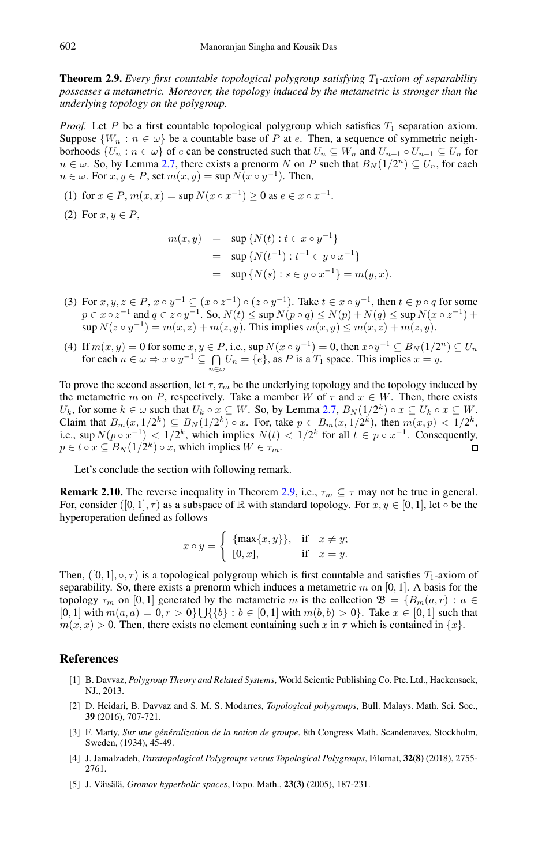<span id="page-4-6"></span>**Theorem 2.9.** *Every first countable topological polygroup satisfying*  $T_1$ -*axiom of separability possesses a metametric. Moreover, the topology induced by the metametric is stronger than the underlying topology on the polygroup.*

*Proof.* Let P be a first countable topological polygroup which satisfies  $T_1$  separation axiom. Suppose  $\{W_n : n \in \omega\}$  be a countable base of P at e. Then, a sequence of symmetric neighborhoods  $\{U_n : n \in \omega\}$  of e can be constructed such that  $U_n \subseteq W_n$  and  $U_{n+1} \circ U_{n+1} \subseteq U_n$  for  $n \in \omega$ . So, by Lemma [2.7,](#page-2-2) there exists a prenorm N on P such that  $B_N(1/2^n) \subseteq U_n$ , for each  $n \in \omega$ . For  $x, y \in P$ , set  $m(x, y) = \sup N(x \circ y^{-1})$ . Then,

- (1) for  $x \in P$ ,  $m(x, x) = \sup N(x \circ x^{-1}) \ge 0$  as  $e \in x \circ x^{-1}$ .
- (2) For  $x, y \in P$ ,

$$
m(x, y) = \sup \{ N(t) : t \in x \circ y^{-1} \}
$$
  
= 
$$
\sup \{ N(t^{-1}) : t^{-1} \in y \circ x^{-1} \}
$$
  
= 
$$
\sup \{ N(s) : s \in y \circ x^{-1} \} = m(y, x).
$$

- (3) For  $x, y, z \in P$ ,  $x \circ y^{-1} \subseteq (x \circ z^{-1}) \circ (z \circ y^{-1})$ . Take  $t \in x \circ y^{-1}$ , then  $t \in p \circ q$  for some  $p \in x \circ z^{-1}$  and  $q \in z \circ y^{-1}$ . So,  $N(t) \leq \sup N(p \circ q) \leq N(p) + N(q) \leq \sup N(x \circ z^{-1}) +$  $\sup N(z \circ y^{-1}) = m(x, z) + m(z, y)$ . This implies  $m(x, y) \le m(x, z) + m(z, y)$ .
- (4) If  $m(x, y) = 0$  for some  $x, y \in P$ , i.e., sup  $N(x \circ y^{-1}) = 0$ , then  $x \circ y^{-1} \subseteq B_N(1/2^n) \subseteq U_n$ for each  $n \in \omega \Rightarrow x \circ y^{-1} \subseteq \bigcap U_n = \{e\}$ , as P is a  $T_1$  space. This implies  $x = y$ .  $n\in\omega$

To prove the second assertion, let  $\tau$ ,  $\tau_m$  be the underlying topology and the topology induced by the metametric m on P, respectively. Take a member W of  $\tau$  and  $x \in W$ . Then, there exists  $U_k$ , for some  $k \in \omega$  such that  $U_k \circ x \subseteq W$ . So, by Lemma [2.7,](#page-2-2)  $B_N(1/2^k) \circ x \subseteq U_k \circ x \subseteq W$ . Claim that  $B_m(x, 1/2^k) \subseteq B_N(1/2^k) \circ x$ . For, take  $p \in B_m(x, 1/2^k)$ , then  $m(x, p) < 1/2^k$ , i.e., sup  $N(p \circ x^{-1}) < 1/2^k$ , which implies  $N(t) < 1/2^k$  for all  $t \in p \circ x^{-1}$ . Consequently,  $p \in t \circ x \subseteq B_N(1/2^k) \circ x$ , which implies  $W \in \tau_m$ .  $\Box$ 

Let's conclude the section with following remark.

**Remark 2.10.** The reverse inequality in Theorem [2.9,](#page-4-6) i.e.,  $\tau_m \subseteq \tau$  may not be true in general. For, consider  $([0, 1], \tau)$  as a subspace of R with standard topology. For  $x, y \in [0, 1]$ , let  $\circ$  be the hyperoperation defined as follows

$$
x \circ y = \begin{cases} \{\max\{x, y\}\}, & \text{if } x \neq y; \\ [0, x], & \text{if } x = y. \end{cases}
$$

Then,  $([0, 1], \circ, \tau)$  is a topological polygroup which is first countable and satisfies  $T_1$ -axiom of separability. So, there exists a prenorm which induces a metametric m on  $[0, 1]$ . A basis for the topology  $\tau_m$  on [0, 1] generated by the metametric m is the collection  $\mathfrak{B} = \{B_m(a, r) : a \in$  $[0, 1]$  with  $m(a, a) = 0, r > 0$   $\bigcup$  { $\{b\} : b \in [0, 1]$  with  $m(b, b) > 0$ }. Take  $x \in [0, 1]$  such that  $m(x, x) > 0$ . Then, there exists no element containing such x in  $\tau$  which is contained in  $\{x\}$ .

## <span id="page-4-0"></span>References

- <span id="page-4-1"></span>[1] B. Davvaz, *Polygroup Theory and Related Systems*, World Scientic Publishing Co. Pte. Ltd., Hackensack, NJ., 2013.
- <span id="page-4-3"></span>[2] D. Heidari, B. Davvaz and S. M. S. Modarres, *Topological polygroups*, Bull. Malays. Math. Sci. Soc., 39 (2016), 707-721.
- <span id="page-4-2"></span>[3] F. Marty, *Sur une généralization de la notion de groupe*, 8th Congress Math. Scandenaves, Stockholm, Sweden, (1934), 45-49.
- <span id="page-4-4"></span>[4] J. Jamalzadeh, *Paratopological Polygroups versus Topological Polygroups*, Filomat, 32(8) (2018), 2755- 2761.
- <span id="page-4-5"></span>[5] J. Väisälä, *Gromov hyperbolic spaces*, Expo. Math., 23(3) (2005), 187-231.